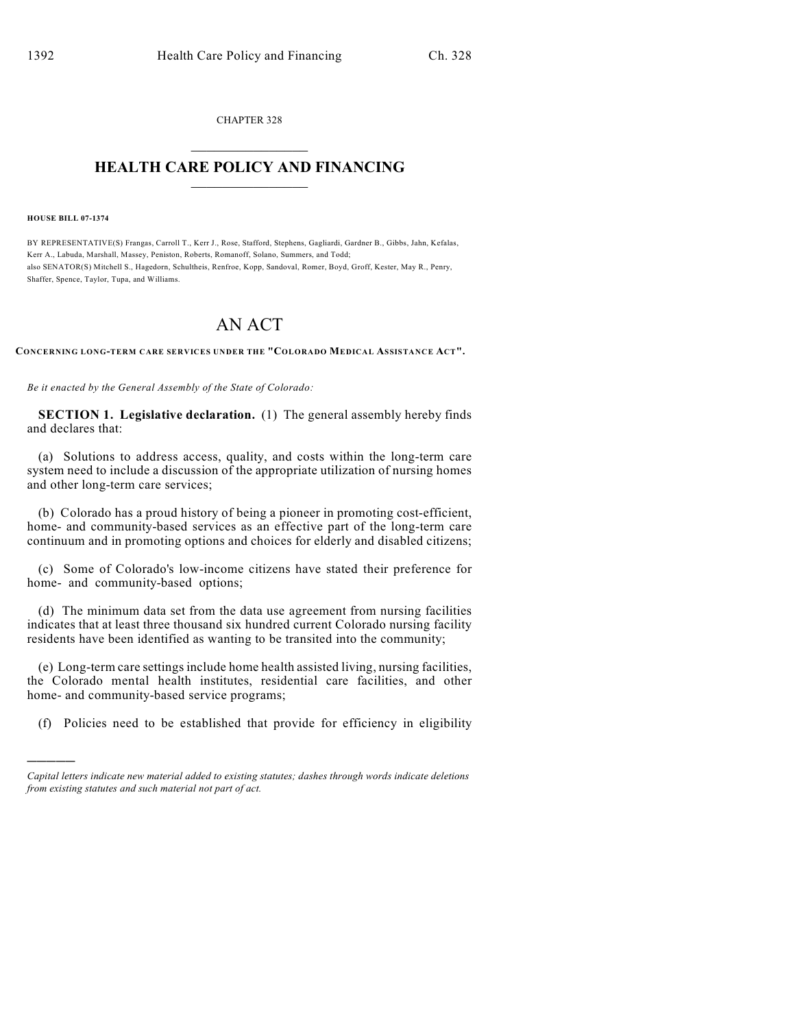CHAPTER 328  $\mathcal{L}_\text{max}$  . The set of the set of the set of the set of the set of the set of the set of the set of the set of the set of the set of the set of the set of the set of the set of the set of the set of the set of the set

## **HEALTH CARE POLICY AND FINANCING**  $\_$   $\_$   $\_$   $\_$   $\_$   $\_$   $\_$   $\_$

**HOUSE BILL 07-1374**

)))))

BY REPRESENTATIVE(S) Frangas, Carroll T., Kerr J., Rose, Stafford, Stephens, Gagliardi, Gardner B., Gibbs, Jahn, Kefalas, Kerr A., Labuda, Marshall, Massey, Peniston, Roberts, Romanoff, Solano, Summers, and Todd; also SENATOR(S) Mitchell S., Hagedorn, Schultheis, Renfroe, Kopp, Sandoval, Romer, Boyd, Groff, Kester, May R., Penry, Shaffer, Spence, Taylor, Tupa, and Williams.

## AN ACT

**CONCERNING LONG-TERM CARE SERVICES UNDER THE "COLORADO MEDICAL ASSISTANCE ACT".**

*Be it enacted by the General Assembly of the State of Colorado:*

**SECTION 1. Legislative declaration.** (1) The general assembly hereby finds and declares that:

(a) Solutions to address access, quality, and costs within the long-term care system need to include a discussion of the appropriate utilization of nursing homes and other long-term care services;

(b) Colorado has a proud history of being a pioneer in promoting cost-efficient, home- and community-based services as an effective part of the long-term care continuum and in promoting options and choices for elderly and disabled citizens;

(c) Some of Colorado's low-income citizens have stated their preference for home- and community-based options;

(d) The minimum data set from the data use agreement from nursing facilities indicates that at least three thousand six hundred current Colorado nursing facility residents have been identified as wanting to be transited into the community;

(e) Long-term care settings include home health assisted living, nursing facilities, the Colorado mental health institutes, residential care facilities, and other home- and community-based service programs;

(f) Policies need to be established that provide for efficiency in eligibility

*Capital letters indicate new material added to existing statutes; dashes through words indicate deletions from existing statutes and such material not part of act.*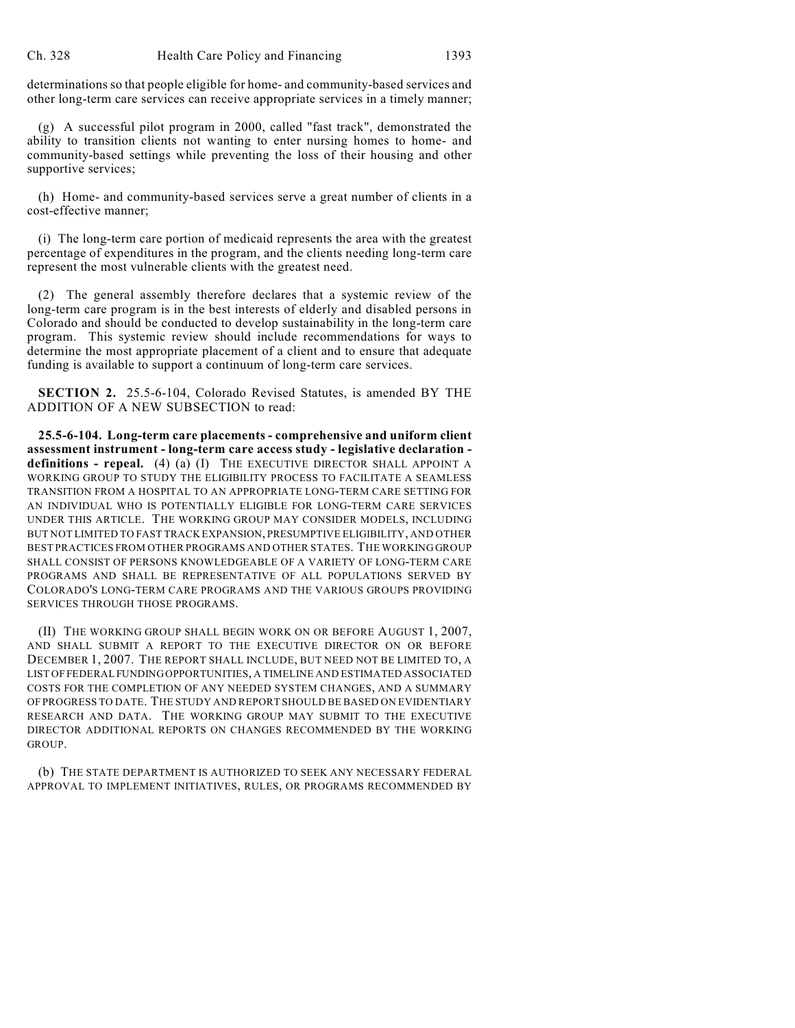determinations so that people eligible for home- and community-based services and other long-term care services can receive appropriate services in a timely manner;

(g) A successful pilot program in 2000, called "fast track", demonstrated the ability to transition clients not wanting to enter nursing homes to home- and community-based settings while preventing the loss of their housing and other supportive services;

(h) Home- and community-based services serve a great number of clients in a cost-effective manner;

(i) The long-term care portion of medicaid represents the area with the greatest percentage of expenditures in the program, and the clients needing long-term care represent the most vulnerable clients with the greatest need.

(2) The general assembly therefore declares that a systemic review of the long-term care program is in the best interests of elderly and disabled persons in Colorado and should be conducted to develop sustainability in the long-term care program. This systemic review should include recommendations for ways to determine the most appropriate placement of a client and to ensure that adequate funding is available to support a continuum of long-term care services.

**SECTION 2.** 25.5-6-104, Colorado Revised Statutes, is amended BY THE ADDITION OF A NEW SUBSECTION to read:

**25.5-6-104. Long-term care placements - comprehensive and uniform client assessment instrument - long-term care access study - legislative declaration definitions - repeal.** (4) (a) (I) THE EXECUTIVE DIRECTOR SHALL APPOINT A WORKING GROUP TO STUDY THE ELIGIBILITY PROCESS TO FACILITATE A SEAMLESS TRANSITION FROM A HOSPITAL TO AN APPROPRIATE LONG-TERM CARE SETTING FOR AN INDIVIDUAL WHO IS POTENTIALLY ELIGIBLE FOR LONG-TERM CARE SERVICES UNDER THIS ARTICLE. THE WORKING GROUP MAY CONSIDER MODELS, INCLUDING BUT NOT LIMITED TO FAST TRACK EXPANSION, PRESUMPTIVE ELIGIBILITY, AND OTHER BEST PRACTICES FROM OTHER PROGRAMS AND OTHER STATES. THE WORKING GROUP SHALL CONSIST OF PERSONS KNOWLEDGEABLE OF A VARIETY OF LONG-TERM CARE PROGRAMS AND SHALL BE REPRESENTATIVE OF ALL POPULATIONS SERVED BY COLORADO'S LONG-TERM CARE PROGRAMS AND THE VARIOUS GROUPS PROVIDING SERVICES THROUGH THOSE PROGRAMS.

(II) THE WORKING GROUP SHALL BEGIN WORK ON OR BEFORE AUGUST 1, 2007, AND SHALL SUBMIT A REPORT TO THE EXECUTIVE DIRECTOR ON OR BEFORE DECEMBER 1, 2007. THE REPORT SHALL INCLUDE, BUT NEED NOT BE LIMITED TO, A LIST OF FEDERAL FUNDING OPPORTUNITIES, A TIMELINE AND ESTIMATED ASSOCIATED COSTS FOR THE COMPLETION OF ANY NEEDED SYSTEM CHANGES, AND A SUMMARY OF PROGRESS TO DATE. THE STUDY AND REPORT SHOULD BE BASED ON EVIDENTIARY RESEARCH AND DATA. THE WORKING GROUP MAY SUBMIT TO THE EXECUTIVE DIRECTOR ADDITIONAL REPORTS ON CHANGES RECOMMENDED BY THE WORKING GROUP.

(b) THE STATE DEPARTMENT IS AUTHORIZED TO SEEK ANY NECESSARY FEDERAL APPROVAL TO IMPLEMENT INITIATIVES, RULES, OR PROGRAMS RECOMMENDED BY